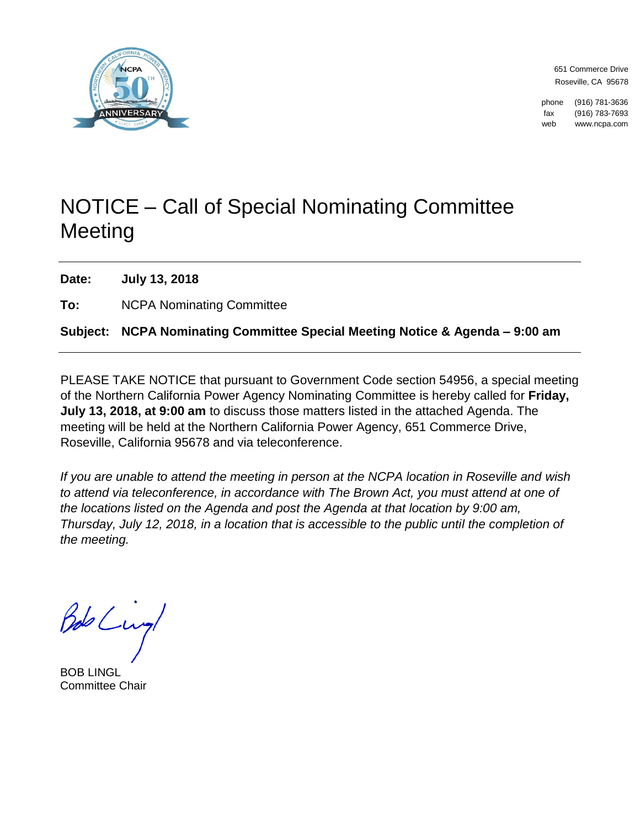

651 Commerce Drive Roseville, CA 95678

phone (916) 781-3636 fax (916) 783-7693 web www.ncpa.com

## NOTICE – Call of Special Nominating Committee Meeting

**Date: July 13, 2018**

**To:** NCPA Nominating Committee

### **Subject: NCPA Nominating Committee Special Meeting Notice & Agenda – 9:00 am**

PLEASE TAKE NOTICE that pursuant to Government Code section 54956, a special meeting of the Northern California Power Agency Nominating Committee is hereby called for **Friday, July 13, 2018, at 9:00 am** to discuss those matters listed in the attached Agenda. The meeting will be held at the Northern California Power Agency, 651 Commerce Drive, Roseville, California 95678 and via teleconference.

*If you are unable to attend the meeting in person at the NCPA location in Roseville and wish to attend via teleconference, in accordance with The Brown Act, you must attend at one of the locations listed on the Agenda and post the Agenda at that location by 9:00 am, Thursday, July 12, 2018, in a location that is accessible to the public until the completion of the meeting.*

Bob Lung

BOB LINGL Committee Chair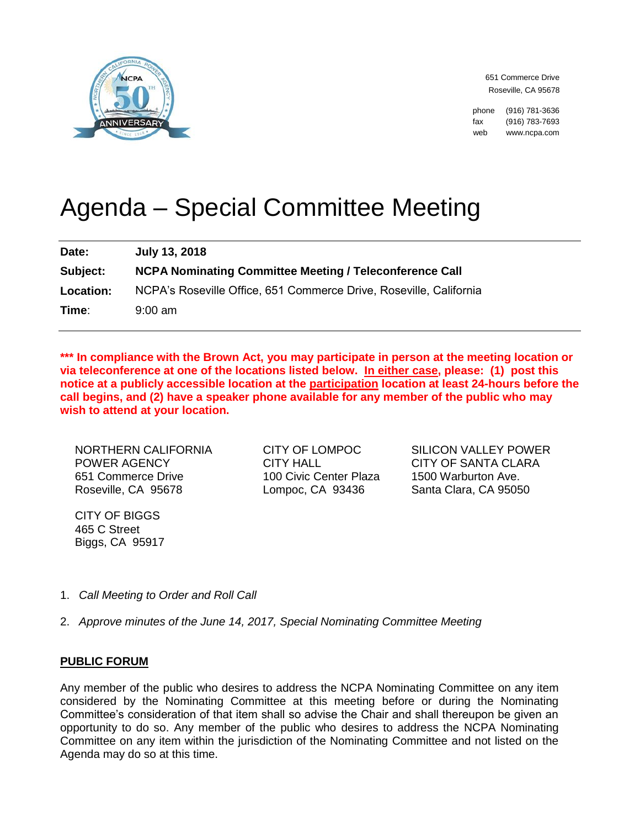

651 Commerce Drive Roseville, CA 95678

phone (916) 781-3636 fax (916) 783-7693 web www.ncpa.com

# Agenda – Special Committee Meeting

| Date:            | July 13, 2018                                                      |
|------------------|--------------------------------------------------------------------|
| Subject:         | <b>NCPA Nominating Committee Meeting / Teleconference Call</b>     |
| <b>Location:</b> | NCPA's Roseville Office, 651 Commerce Drive, Roseville, California |
| Time∶            | $9:00$ am                                                          |

In compliance with the Brown Act, you may participate in person at the meeting location or **via teleconference at one of the locations listed below. In either case, please: (1) post this notice at a publicly accessible location at the participation location at least 24-hours before the call begins, and (2) have a speaker phone available for any member of the public who may wish to attend at your location.** 

NORTHERN CALIFORNIA POWER AGENCY 651 Commerce Drive Roseville, CA 95678

CITY OF BIGGS 465 C Street Biggs, CA 95917 CITY OF LOMPOC CITY HALL 100 Civic Center Plaza Lompoc, CA 93436

SILICON VALLEY POWER CITY OF SANTA CLARA 1500 Warburton Ave. Santa Clara, CA 95050

- 1. *Call Meeting to Order and Roll Call*
- 2. *Approve minutes of the June 14, 2017, Special Nominating Committee Meeting*

#### **PUBLIC FORUM**

Any member of the public who desires to address the NCPA Nominating Committee on any item considered by the Nominating Committee at this meeting before or during the Nominating Committee's consideration of that item shall so advise the Chair and shall thereupon be given an opportunity to do so. Any member of the public who desires to address the NCPA Nominating Committee on any item within the jurisdiction of the Nominating Committee and not listed on the Agenda may do so at this time.